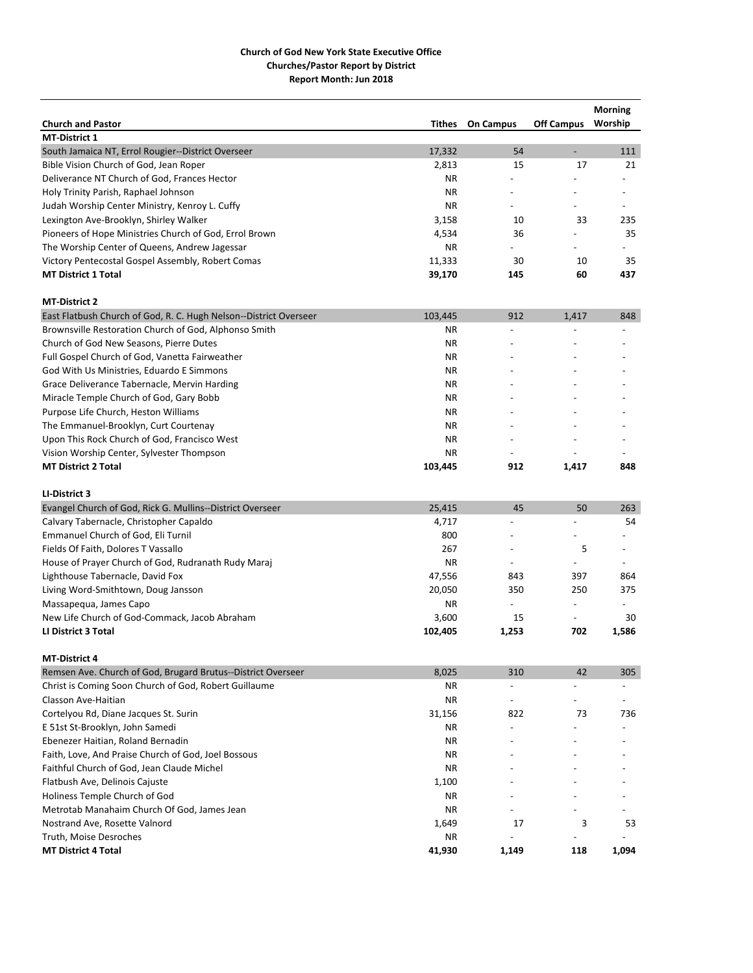|                                                                   |         |                          |                          | <b>Morning</b>           |
|-------------------------------------------------------------------|---------|--------------------------|--------------------------|--------------------------|
| <b>Church and Pastor</b>                                          | Tithes  | <b>On Campus</b>         | <b>Off Campus</b>        | Worship                  |
| <b>MT-District 1</b>                                              |         |                          |                          |                          |
| South Jamaica NT, Errol Rougier--District Overseer                | 17,332  | 54                       | $\overline{\phantom{a}}$ | 111                      |
| Bible Vision Church of God, Jean Roper                            | 2,813   | 15                       | 17                       | 21                       |
| Deliverance NT Church of God, Frances Hector                      | ΝR      |                          |                          |                          |
| Holy Trinity Parish, Raphael Johnson                              | ΝR      |                          |                          |                          |
| Judah Worship Center Ministry, Kenroy L. Cuffy                    | ΝR      |                          |                          |                          |
| Lexington Ave-Brooklyn, Shirley Walker                            | 3,158   | 10                       | 33                       | 235                      |
| Pioneers of Hope Ministries Church of God, Errol Brown            | 4,534   | 36                       |                          | 35                       |
| The Worship Center of Queens, Andrew Jagessar                     | ΝR      |                          |                          |                          |
| Victory Pentecostal Gospel Assembly, Robert Comas                 | 11,333  | 30                       | 10                       | 35                       |
| <b>MT District 1 Total</b>                                        | 39,170  | 145                      | 60                       | 437                      |
| <b>MT-District 2</b>                                              |         |                          |                          |                          |
| East Flatbush Church of God, R. C. Hugh Nelson--District Overseer | 103,445 | 912                      | 1,417                    | 848                      |
| Brownsville Restoration Church of God, Alphonso Smith             | ΝR      |                          |                          |                          |
| Church of God New Seasons, Pierre Dutes                           | ΝR      |                          |                          |                          |
| Full Gospel Church of God, Vanetta Fairweather                    | ΝR      |                          |                          |                          |
| God With Us Ministries, Eduardo E Simmons                         | ΝR      |                          |                          |                          |
| Grace Deliverance Tabernacle, Mervin Harding                      | ΝR      |                          |                          |                          |
| Miracle Temple Church of God, Gary Bobb                           | ΝR      |                          |                          |                          |
| Purpose Life Church, Heston Williams                              | ΝR      |                          |                          |                          |
| The Emmanuel-Brooklyn, Curt Courtenay                             | ΝR      |                          |                          |                          |
| Upon This Rock Church of God, Francisco West                      | ΝR      |                          |                          |                          |
| Vision Worship Center, Sylvester Thompson                         | ΝR      |                          |                          |                          |
| <b>MT District 2 Total</b>                                        | 103,445 | 912                      | 1,417                    | 848                      |
| LI-District 3                                                     |         |                          |                          |                          |
| Evangel Church of God, Rick G. Mullins--District Overseer         | 25,415  | 45                       | 50                       | 263                      |
| Calvary Tabernacle, Christopher Capaldo                           | 4,717   |                          |                          | 54                       |
| Emmanuel Church of God, Eli Turnil                                | 800     |                          |                          |                          |
| Fields Of Faith, Dolores T Vassallo                               | 267     |                          | 5                        |                          |
| House of Prayer Church of God, Rudranath Rudy Maraj               | ΝR      | $\overline{\phantom{a}}$ | $\overline{\phantom{a}}$ | $\overline{\phantom{a}}$ |
| Lighthouse Tabernacle, David Fox                                  | 47,556  | 843                      | 397                      | 864                      |
| Living Word-Smithtown, Doug Jansson                               | 20,050  | 350                      | 250                      | 375                      |
| Massapequa, James Capo                                            | ΝR      | $\overline{a}$           | $\overline{a}$           | $\overline{\phantom{a}}$ |
| New Life Church of God-Commack, Jacob Abraham                     | 3,600   | 15                       | $\overline{\phantom{a}}$ | 30                       |
| LI District 3 Total                                               | 102,405 | 1,253                    | 702                      | 1,586                    |
| <b>MT-District 4</b>                                              |         |                          |                          |                          |
| Remsen Ave. Church of God, Brugard Brutus--District Overseer      | 8,025   | 310                      | 42                       | 305                      |
| Christ is Coming Soon Church of God, Robert Guillaume             | ΝR      |                          |                          |                          |
| Classon Ave-Haitian                                               | ΝR      | $\overline{a}$           |                          |                          |
| Cortelyou Rd, Diane Jacques St. Surin                             | 31,156  | 822                      | 73                       | 736                      |
| E 51st St-Brooklyn, John Samedi                                   | ΝR      |                          |                          |                          |
| Ebenezer Haitian, Roland Bernadin                                 | ΝR      |                          |                          |                          |
| Faith, Love, And Praise Church of God, Joel Bossous               | ΝR      |                          |                          |                          |
| Faithful Church of God, Jean Claude Michel                        | ΝR      |                          |                          |                          |
| Flatbush Ave, Delinois Cajuste                                    | 1,100   |                          |                          |                          |
| Holiness Temple Church of God                                     | ΝR      |                          |                          |                          |
| Metrotab Manahaim Church Of God, James Jean                       | ΝR      |                          |                          |                          |
| Nostrand Ave, Rosette Valnord                                     | 1,649   | 17                       | 3                        | 53                       |
| Truth, Moise Desroches                                            | ΝR      |                          |                          |                          |
| <b>MT District 4 Total</b>                                        | 41,930  | 1,149                    | 118                      | 1,094                    |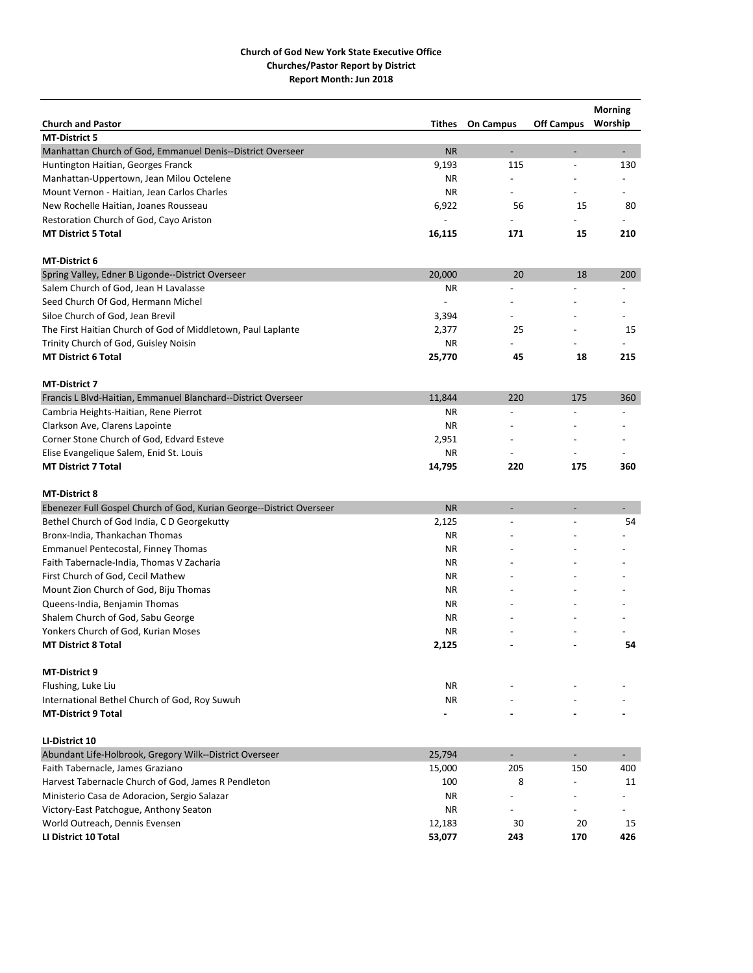|                                                                      |                |                          |                          | <b>Morning</b>           |
|----------------------------------------------------------------------|----------------|--------------------------|--------------------------|--------------------------|
| <b>Church and Pastor</b>                                             | Tithes         | <b>On Campus</b>         | <b>Off Campus</b>        | Worship                  |
| <b>MT-District 5</b>                                                 |                |                          |                          |                          |
| Manhattan Church of God, Emmanuel Denis--District Overseer           | <b>NR</b>      | $\overline{\phantom{a}}$ |                          | $\overline{\phantom{a}}$ |
| Huntington Haitian, Georges Franck                                   | 9,193          | 115                      | $\overline{\phantom{a}}$ | 130                      |
| Manhattan-Uppertown, Jean Milou Octelene                             | ΝR             |                          |                          |                          |
| Mount Vernon - Haitian, Jean Carlos Charles                          | ΝR             |                          |                          |                          |
| New Rochelle Haitian, Joanes Rousseau                                | 6,922          | 56                       | 15                       | 80                       |
| Restoration Church of God, Cayo Ariston                              | $\overline{a}$ |                          |                          |                          |
| <b>MT District 5 Total</b>                                           | 16,115         | 171                      | 15                       | 210                      |
| MT-District 6                                                        |                |                          |                          |                          |
| Spring Valley, Edner B Ligonde--District Overseer                    | 20,000         | 20                       | 18                       | 200                      |
| Salem Church of God, Jean H Lavalasse                                | ΝR             | $\overline{a}$           |                          |                          |
| Seed Church Of God, Hermann Michel                                   |                |                          |                          |                          |
| Siloe Church of God, Jean Brevil                                     | 3,394          |                          |                          |                          |
| The First Haitian Church of God of Middletown, Paul Laplante         | 2,377          | 25                       |                          | 15                       |
| Trinity Church of God, Guisley Noisin                                | ΝR             |                          |                          |                          |
| <b>MT District 6 Total</b>                                           | 25,770         | 45                       | 18                       | 215                      |
| <b>MT-District 7</b>                                                 |                |                          |                          |                          |
| Francis L Blvd-Haitian, Emmanuel Blanchard--District Overseer        | 11,844         | 220                      | 175                      | 360                      |
| Cambria Heights-Haitian, Rene Pierrot                                | ΝR             |                          |                          |                          |
| Clarkson Ave, Clarens Lapointe                                       | ΝR             |                          |                          |                          |
| Corner Stone Church of God, Edvard Esteve                            | 2,951          |                          |                          |                          |
| Elise Evangelique Salem, Enid St. Louis                              | ΝR             |                          |                          |                          |
| <b>MT District 7 Total</b>                                           | 14,795         | 220                      | 175                      | 360                      |
| <b>MT-District 8</b>                                                 |                |                          |                          |                          |
| Ebenezer Full Gospel Church of God, Kurian George--District Overseer | <b>NR</b>      | ÷.                       | $\overline{a}$           |                          |
| Bethel Church of God India, C D Georgekutty                          | 2,125          |                          |                          | 54                       |
| Bronx-India, Thankachan Thomas                                       | ΝR             |                          |                          |                          |
| Emmanuel Pentecostal, Finney Thomas                                  | ΝR             |                          |                          |                          |
| Faith Tabernacle-India, Thomas V Zacharia                            | ΝR             |                          |                          |                          |
| First Church of God, Cecil Mathew                                    | ΝR             |                          |                          |                          |
| Mount Zion Church of God, Biju Thomas                                | ΝR             |                          |                          |                          |
| Queens-India, Benjamin Thomas                                        | ΝR             |                          |                          |                          |
| Shalem Church of God, Sabu George                                    | ΝR             |                          |                          |                          |
| Yonkers Church of God, Kurian Moses                                  | <b>NR</b>      |                          |                          |                          |
| <b>MT District 8 Total</b>                                           | 2,125          |                          |                          | 54                       |
| MT-District 9                                                        |                |                          |                          |                          |
| Flushing, Luke Liu                                                   | NR             |                          |                          |                          |
| International Bethel Church of God, Roy Suwuh                        | NR             |                          |                          |                          |
| <b>MT-District 9 Total</b>                                           |                |                          |                          |                          |
| LI-District 10                                                       |                |                          |                          |                          |
| Abundant Life-Holbrook, Gregory Wilk--District Overseer              | 25,794         | $\overline{\phantom{a}}$ | $\overline{\phantom{a}}$ | $\overline{\phantom{a}}$ |
| Faith Tabernacle, James Graziano                                     | 15,000         | 205                      | 150                      | 400                      |
| Harvest Tabernacle Church of God, James R Pendleton                  | 100            | 8                        |                          | 11                       |
| Ministerio Casa de Adoracion, Sergio Salazar                         | ΝR             |                          |                          |                          |
| Victory-East Patchogue, Anthony Seaton                               | ΝR             |                          |                          |                          |
|                                                                      |                | 30                       | 20                       |                          |
| World Outreach, Dennis Evensen                                       | 12,183         |                          |                          | 15                       |
| LI District 10 Total                                                 | 53,077         | 243                      | 170                      | 426                      |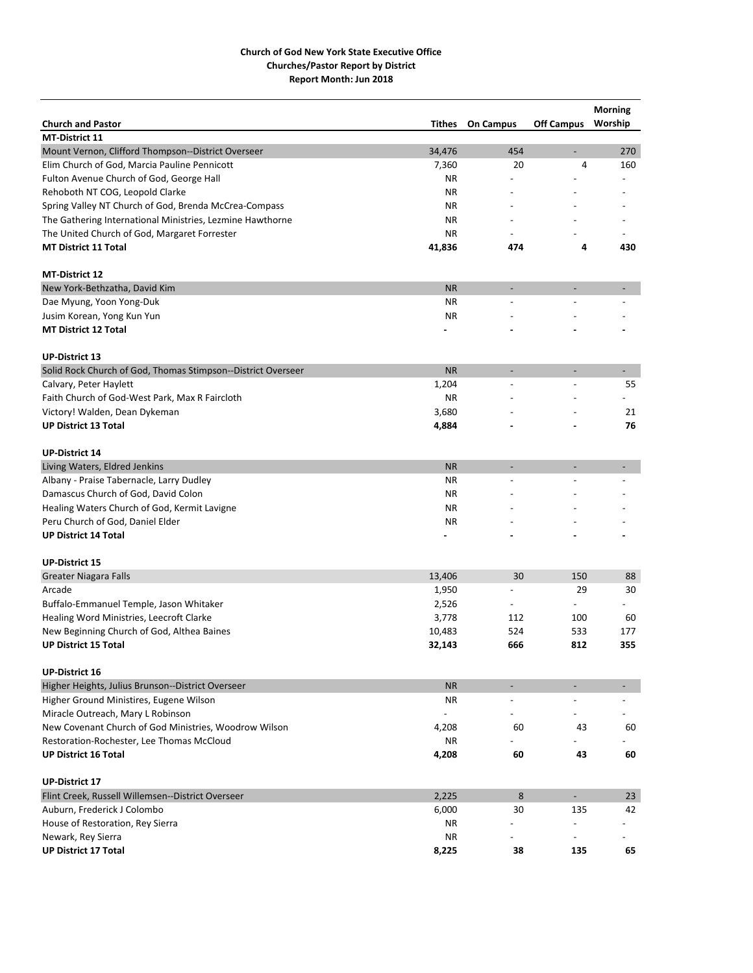|                                                              |           |                  |                          | <b>Morning</b>           |
|--------------------------------------------------------------|-----------|------------------|--------------------------|--------------------------|
| <b>Church and Pastor</b>                                     | Tithes    | <b>On Campus</b> | <b>Off Campus</b>        | Worship                  |
| <b>MT-District 11</b>                                        |           |                  |                          |                          |
| Mount Vernon, Clifford Thompson--District Overseer           | 34,476    | 454              | $\overline{\phantom{a}}$ | 270                      |
| Elim Church of God, Marcia Pauline Pennicott                 | 7,360     | 20               | 4                        | 160                      |
| Fulton Avenue Church of God, George Hall                     | ΝR        |                  |                          |                          |
| Rehoboth NT COG, Leopold Clarke                              | ΝR        |                  |                          |                          |
| Spring Valley NT Church of God, Brenda McCrea-Compass        | ΝR        |                  |                          |                          |
| The Gathering International Ministries, Lezmine Hawthorne    | ΝR        |                  |                          |                          |
| The United Church of God, Margaret Forrester                 | ΝR        |                  |                          |                          |
| <b>MT District 11 Total</b>                                  | 41,836    | 474              | 4                        | 430                      |
| <b>MT-District 12</b>                                        |           |                  |                          |                          |
| New York-Bethzatha, David Kim                                | <b>NR</b> | -                | $\overline{\phantom{a}}$ | -                        |
| Dae Myung, Yoon Yong-Duk                                     | ΝR        |                  |                          |                          |
| Jusim Korean, Yong Kun Yun                                   | <b>NR</b> |                  |                          |                          |
| <b>MT District 12 Total</b>                                  |           |                  |                          |                          |
| <b>UP-District 13</b>                                        |           |                  |                          |                          |
| Solid Rock Church of God, Thomas Stimpson--District Overseer | <b>NR</b> | ÷                | $\overline{a}$           | $\overline{\phantom{0}}$ |
| Calvary, Peter Haylett                                       | 1,204     |                  |                          | 55                       |
| Faith Church of God-West Park, Max R Faircloth               | ΝR        |                  |                          |                          |
| Victory! Walden, Dean Dykeman                                | 3,680     |                  |                          | 21                       |
| <b>UP District 13 Total</b>                                  | 4,884     |                  |                          | 76                       |
| <b>UP-District 14</b>                                        |           |                  |                          |                          |
| Living Waters, Eldred Jenkins                                | <b>NR</b> | ÷                |                          | $\overline{\phantom{0}}$ |
| Albany - Praise Tabernacle, Larry Dudley                     | ΝR        |                  |                          |                          |
| Damascus Church of God, David Colon                          | ΝR        |                  |                          |                          |
|                                                              |           |                  |                          |                          |
| Healing Waters Church of God, Kermit Lavigne                 | ΝR<br>ΝR  |                  |                          |                          |
| Peru Church of God, Daniel Elder                             |           |                  |                          |                          |
| <b>UP District 14 Total</b>                                  |           |                  |                          |                          |
| <b>UP-District 15</b>                                        |           |                  |                          |                          |
| <b>Greater Niagara Falls</b>                                 | 13,406    | 30               | 150                      | 88                       |
| Arcade                                                       | 1,950     | $\overline{a}$   | 29                       | 30                       |
| Buffalo-Emmanuel Temple, Jason Whitaker                      | 2,526     |                  | $\overline{a}$           |                          |
| Healing Word Ministries, Leecroft Clarke                     | 3,778     | 112              | 100                      | 60                       |
| New Beginning Church of God, Althea Baines                   | 10,483    | 524              | 533                      | 177                      |
| <b>UP District 15 Total</b>                                  | 32,143    | 666              | 812                      | 355                      |
| <b>UP-District 16</b>                                        |           |                  |                          |                          |
| Higher Heights, Julius Brunson--District Overseer            | <b>NR</b> | ٠                | $\overline{\phantom{a}}$ |                          |
| Higher Ground Ministires, Eugene Wilson                      | NR.       | $\overline{a}$   |                          |                          |
| Miracle Outreach, Mary L Robinson                            |           |                  |                          |                          |
| New Covenant Church of God Ministries, Woodrow Wilson        | 4,208     | 60               | 43                       | 60                       |
| Restoration-Rochester, Lee Thomas McCloud                    | ΝR        |                  |                          |                          |
| <b>UP District 16 Total</b>                                  | 4,208     | 60               | 43                       | 60                       |
| <b>UP-District 17</b>                                        |           |                  |                          |                          |
| Flint Creek, Russell Willemsen--District Overseer            | 2,225     | 8                | $\blacksquare$           | 23                       |
| Auburn, Frederick J Colombo                                  | 6,000     | 30               | 135                      | 42                       |
| House of Restoration, Rey Sierra                             | ΝR        |                  |                          |                          |
| Newark, Rey Sierra                                           | NR.       |                  |                          |                          |
| <b>UP District 17 Total</b>                                  | 8,225     | 38               | 135                      | 65                       |
|                                                              |           |                  |                          |                          |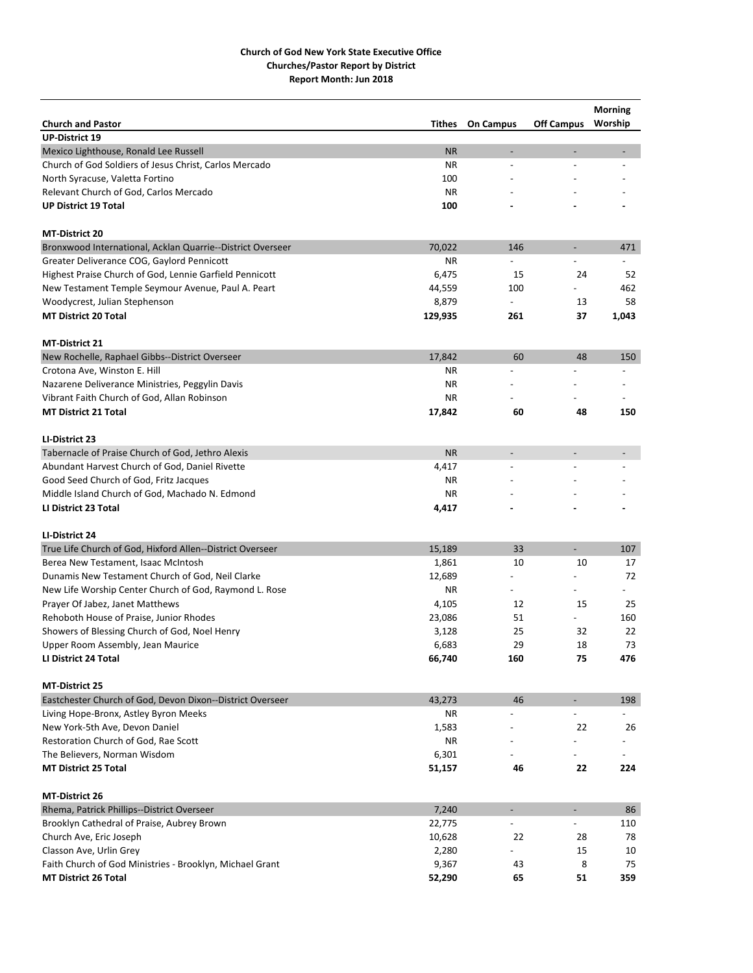|                                                            |           |                          |                          | <b>Morning</b> |
|------------------------------------------------------------|-----------|--------------------------|--------------------------|----------------|
| <b>Church and Pastor</b>                                   | Tithes    | <b>On Campus</b>         | <b>Off Campus</b>        | Worship        |
| <b>UP-District 19</b>                                      |           |                          |                          |                |
| Mexico Lighthouse, Ronald Lee Russell                      | <b>NR</b> | $\overline{\phantom{a}}$ | $\overline{a}$           |                |
| Church of God Soldiers of Jesus Christ, Carlos Mercado     | <b>NR</b> | ÷,                       |                          |                |
| North Syracuse, Valetta Fortino                            | 100       |                          |                          |                |
| Relevant Church of God, Carlos Mercado                     | <b>NR</b> |                          |                          |                |
| <b>UP District 19 Total</b>                                | 100       |                          |                          |                |
| <b>MT-District 20</b>                                      |           |                          |                          |                |
| Bronxwood International, Acklan Quarrie--District Overseer | 70,022    | 146                      | $\overline{\phantom{a}}$ | 471            |
| Greater Deliverance COG, Gaylord Pennicott                 | ΝR        |                          |                          |                |
| Highest Praise Church of God, Lennie Garfield Pennicott    | 6,475     | 15                       | 24                       | 52             |
| New Testament Temple Seymour Avenue, Paul A. Peart         | 44,559    | 100                      |                          | 462            |
| Woodycrest, Julian Stephenson                              | 8,879     | $\overline{\phantom{a}}$ | 13                       | 58             |
| <b>MT District 20 Total</b>                                | 129,935   | 261                      | 37                       | 1,043          |
| <b>MT-District 21</b>                                      |           |                          |                          |                |
| New Rochelle, Raphael Gibbs--District Overseer             | 17,842    | 60                       | 48                       | 150            |
| Crotona Ave, Winston E. Hill                               | ΝR        | $\overline{a}$           |                          | $\overline{a}$ |
| Nazarene Deliverance Ministries, Peggylin Davis            | ΝR        |                          |                          |                |
| Vibrant Faith Church of God, Allan Robinson                | ΝR        |                          |                          |                |
| <b>MT District 21 Total</b>                                | 17,842    | 60                       | 48                       | 150            |
|                                                            |           |                          |                          |                |
| LI-District 23                                             |           |                          |                          |                |
| Tabernacle of Praise Church of God, Jethro Alexis          | <b>NR</b> | $\overline{a}$           | $\overline{a}$           |                |
| Abundant Harvest Church of God, Daniel Rivette             | 4,417     | $\overline{\phantom{a}}$ |                          |                |
| Good Seed Church of God, Fritz Jacques                     | ΝR        |                          |                          |                |
| Middle Island Church of God, Machado N. Edmond             | <b>NR</b> |                          |                          |                |
| LI District 23 Total                                       | 4,417     |                          |                          |                |
| LI-District 24                                             |           |                          |                          |                |
| True Life Church of God, Hixford Allen--District Overseer  | 15,189    | 33                       | $\overline{\phantom{a}}$ | 107            |
| Berea New Testament, Isaac McIntosh                        | 1,861     | 10                       | 10                       | 17             |
| Dunamis New Testament Church of God, Neil Clarke           | 12,689    |                          |                          | 72             |
| New Life Worship Center Church of God, Raymond L. Rose     | ΝR        |                          |                          |                |
| Prayer Of Jabez, Janet Matthews                            | 4,105     | 12                       | 15                       | 25             |
| Rehoboth House of Praise, Junior Rhodes                    | 23,086    | 51                       |                          | 160            |
| Showers of Blessing Church of God, Noel Henry              | 3,128     | 25                       | 32                       | 22             |
| Upper Room Assembly, Jean Maurice                          | 6,683     | 29                       | 18                       | 73             |
| LI District 24 Total                                       | 66,740    | 160                      | 75                       | 476            |
| <b>MT-District 25</b>                                      |           |                          |                          |                |
| Eastchester Church of God, Devon Dixon--District Overseer  | 43,273    | 46                       | $\overline{\phantom{a}}$ | 198            |
| Living Hope-Bronx, Astley Byron Meeks                      | NR        |                          |                          |                |
| New York-5th Ave, Devon Daniel                             | 1,583     |                          | 22                       | 26             |
| Restoration Church of God, Rae Scott                       | NR        |                          |                          |                |
| The Believers, Norman Wisdom                               | 6,301     |                          |                          |                |
| <b>MT District 25 Total</b>                                | 51,157    | 46                       | 22                       | 224            |
| MT-District 26                                             |           |                          |                          |                |
| Rhema, Patrick Phillips--District Overseer                 | 7,240     | $\overline{\phantom{a}}$ | ÷,                       | 86             |
| Brooklyn Cathedral of Praise, Aubrey Brown                 | 22,775    |                          |                          | 110            |
| Church Ave, Eric Joseph                                    | 10,628    | 22                       | 28                       | 78             |
| Classon Ave, Urlin Grey                                    | 2,280     |                          | 15                       | 10             |
| Faith Church of God Ministries - Brooklyn, Michael Grant   | 9,367     | 43                       | 8                        | 75             |
| <b>MT District 26 Total</b>                                | 52,290    | 65                       | 51                       | 359            |